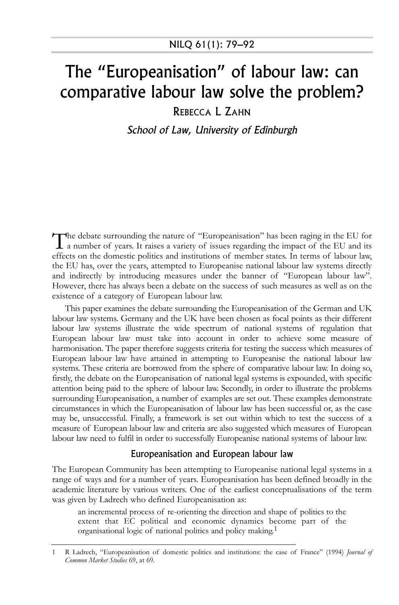## The "Europeanisation" of labour law: can comparative labour law solve the problem?

REBECCA L ZAHN

School of Law, University of Edinburgh

The debate surrounding the nature of "Europeanisation" has been raging in the EU for a number of years. It raises a variety of issues regarding the impact of the EU and its effects on the domestic politics and institutions of member states. In terms of labour law, the EU has, over the years, attempted to Europeanise national labour law systems directly and indirectly by introducing measures under the banner of "European labour law". However, there has always been a debate on the success of such measures as well as on the existence of a category of European labour law.

This paper examines the debate surrounding the Europeanisation of the German and UK labour law systems. Germany and the UK have been chosen as focal points as their different labour law systems illustrate the wide spectrum of national systems of regulation that European labour law must take into account in order to achieve some measure of harmonisation. The paper therefore suggests criteria for testing the success which measures of European labour law have attained in attempting to Europeanise the national labour law systems. These criteria are borrowed from the sphere of comparative labour law. In doing so, firstly, the debate on the Europeanisation of national legal systems is expounded, with specific attention being paid to the sphere of labour law. Secondly, in order to illustrate the problems surrounding Europeanisation, a number of examples are set out. These examples demonstrate circumstances in which the Europeanisation of labour law has been successful or, as the case may be, unsuccessful. Finally, a framework is set out within which to test the success of a measure of European labour law and criteria are also suggested which measures of European labour law need to fulfil in order to successfully Europeanise national systems of labour law.

## Europeanisation and European labour law

The European Community has been attempting to Europeanise national legal systems in a range of ways and for a number of years. Europeanisation has been defined broadly in the academic literature by various writers. One of the earliest conceptualisations of the term was given by Ladrech who defined Europeanisation as:

an incremental process of re-orienting the direction and shape of politics to the extent that EC political and economic dynamics become part of the organisational logic of national politics and policy making.1

<sup>1</sup> R Ladrech, "Europeanisation of domestic politics and institutions: the case of France" (1994) *Journal of Common Market Studies* 69, at 69.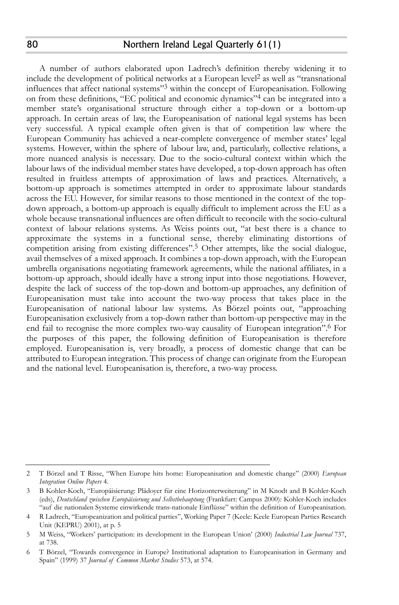A number of authors elaborated upon Ladrech's definition thereby widening it to include the development of political networks at a European level2 as well as "transnational influences that affect national systems"3 within the concept of Europeanisation. Following on from these definitions, "EC political and economic dynamics"4 can be integrated into a member state's organisational structure through either a top-down or a bottom-up approach. In certain areas of law, the Europeanisation of national legal systems has been very successful. A typical example often given is that of competition law where the European Community has achieved a near-complete convergence of member states' legal systems. However, within the sphere of labour law, and, particularly, collective relations, a more nuanced analysis is necessary. Due to the socio-cultural context within which the labour laws of the individual member states have developed, a top-down approach has often resulted in fruitless attempts of approximation of laws and practices. Alternatively, a bottom-up approach is sometimes attempted in order to approximate labour standards across the EU. However, for similar reasons to those mentioned in the context of the topdown approach, a bottom-up approach is equally difficult to implement across the EU as a whole because transnational influences are often difficult to reconcile with the socio-cultural context of labour relations systems. As Weiss points out, "at best there is a chance to approximate the systems in a functional sense, thereby eliminating distortions of competition arising from existing differences".<sup>5</sup> Other attempts, like the social dialogue, avail themselves of a mixed approach. It combines a top-down approach, with the European umbrella organisations negotiating framework agreements, while the national affiliates, in a bottom-up approach, should ideally have a strong input into those negotiations. However, despite the lack of success of the top-down and bottom-up approaches, any definition of Europeanisation must take into account the two-way process that takes place in the Europeanisation of national labour law systems. As Börzel points out, "approaching Europeanisation exclusively from a top-down rather than bottom-up perspective may in the end fail to recognise the more complex two-way causality of European integration".6 For the purposes of this paper, the following definition of Europeanisation is therefore employed. Europeanisation is, very broadly, a process of domestic change that can be attributed to European integration. This process of change can originate from the European and the national level. Europeanisation is, therefore, a two-way process.

<sup>2</sup> T Börzel and T Risse, "When Europe hits home: Europeanisation and domestic change" (2000) *European Integration Online Papers* 4.

<sup>3</sup> B Kohler-Koch, "Europäisierung: Plädoyer für eine Horizonterweiterung" in M Knodt and B Kohler-Koch (eds), *Deutschland zwischen Europäisierung und Selbstbehauptung* (Frankfurt: Campus 2000): Kohler-Koch includes "auf die nationalen Systeme einwirkende trans-nationale Einflüsse" within the definition of Europeanisation.

<sup>4</sup> R Ladrech, "Europeanization and political parties", Working Paper 7 (Keele: Keele European Parties Research Unit (KEPRU) 2001), at p. 5

<sup>5</sup> M Weiss, "Workers' participation: its development in the European Union' (2000) *Industrial Law Journal* 737, at 738.

<sup>6</sup> T Börzel, "Towards convergence in Europe? Institutional adaptation to Europeanisation in Germany and Spain" (1999) 37 *Journal of Common Market Studies* 573, at 574.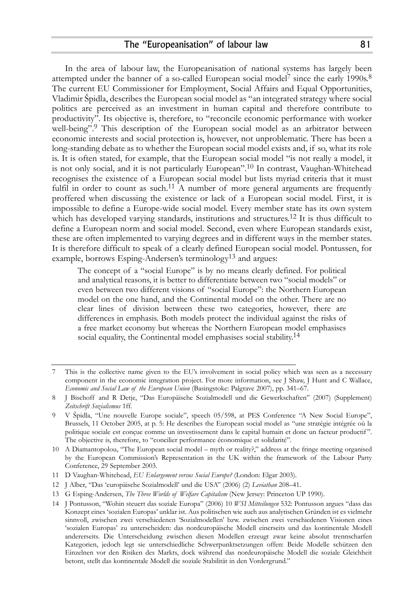In the area of labour law, the Europeanisation of national systems has largely been attempted under the banner of a so-called European social model<sup>7</sup> since the early 1990s.<sup>8</sup> The current EU Commissioner for Employment, Social Affairs and Equal Opportunities, Vladimir Špidla, describes the European social model as "an integrated strategy where social politics are perceived as an investment in human capital and therefore contribute to productivity". Its objective is, therefore, to "reconcile economic performance with worker well-being".9 This description of the European social model as an arbitrator between economic interests and social protection is, however, not unproblematic. There has been a long-standing debate as to whether the European social model exists and, if so, what its role is. It is often stated, for example, that the European social model "is not really a model, it is not only social, and it is not particularly European".10 In contrast, Vaughan-Whitehead recognises the existence of a European social model but lists myriad criteria that it must fulfil in order to count as such.<sup>11</sup> A number of more general arguments are frequently proffered when discussing the existence or lack of a European social model. First, it is impossible to define a Europe-wide social model. Every member state has its own system which has developed varying standards, institutions and structures.<sup>12</sup> It is thus difficult to define a European norm and social model. Second, even where European standards exist, these are often implemented to varying degrees and in different ways in the member states. It is therefore difficult to speak of a clearly defined European social model. Pontussen, for example, borrows Esping-Andersen's terminology<sup>13</sup> and argues:

The concept of a "social Europe" is by no means clearly defined. For political and analytical reasons, it is better to differentiate between two "social models" or even between two different visions of "social Europe": the Northern European model on the one hand, and the Continental model on the other. There are no clear lines of division between these two categories, however, there are differences in emphasis. Both models protect the individual against the risks of a free market economy but whereas the Northern European model emphasises social equality, the Continental model emphasises social stability.<sup>14</sup>

This is the collective name given to the EU's involvement in social policy which was seen as a necessary component in the economic integration project. For more information, see J Shaw, J Hunt and C Wallace, *Economic and Social Law of the European Union* (Basingstoke: Palgrave 2007), pp. 341–67.

<sup>8</sup> J Bischoff and R Detje, "Das Europäische Sozialmodell und die Gewerkschaften" (2007) (Supplement) *Zeitschrift Sozialismus* 1ff.

<sup>9</sup> V Špidla, "Une nouvelle Europe sociale", speech 05/598, at PES Conference "A New Social Europe", Brussels, 11 October 2005, at p. 5: He describes the European social model as "une stratégie intégrée où la politique sociale est conçue comme un investissement dans le capital humain et donc un facteur productif". The objective is, therefore, to "concilier performance économique et solidarité".

<sup>10</sup> A Diamantopolou, "The European social model – myth or reality?," address at the fringe meeting organised by the European Commission's Representation in the UK within the framework of the Labour Party Conference, 29 September 2003.

<sup>11</sup> D Vaughan-Whitehead, *EU Enlargement versus Social Europe?* (London: Elgar 2003).

<sup>12</sup> J Alber, "Das 'europäische Sozialmodell' und die USA" (2006) (2) *Leviathan* 208–41.

<sup>13</sup> G Esping-Andersen, *The Three Worlds of Welfare Capitalism* (New Jersey: Princeton UP 1990).

<sup>14</sup> J Pontusson, "Wohin steuert das soziale Europa" (2006) 10 *WSI Mitteilungen* 532: Pontusson argues "dass das Konzept eines 'sozialen Europas' unklar ist. Aus politischen wie auch aus analytischen Gründen ist es vielmehr sinnvoll, zwischen zwei verschiedenen 'Sozialmodellen' bzw. zwischen zwei verschiedenen Visionen eines 'sozialen Europas' zu unterscheiden: das nordeuropäische Modell einerseits und das kontinentale Modell andererseits. Die Unterscheidung zwischen diesen Modellen erzeugt zwar keine absolut trennscharfen Kategorien, jedoch legt sie unterschiedliche Schwerpunktsetzungen offen: Beide Modelle schützen den Einzelnen vor den Risiken des Markts, dock während das nordeuropäische Modell die soziale Gleichheit betont, stellt das kontinentale Modell die soziale Stabilität in den Vordergrund."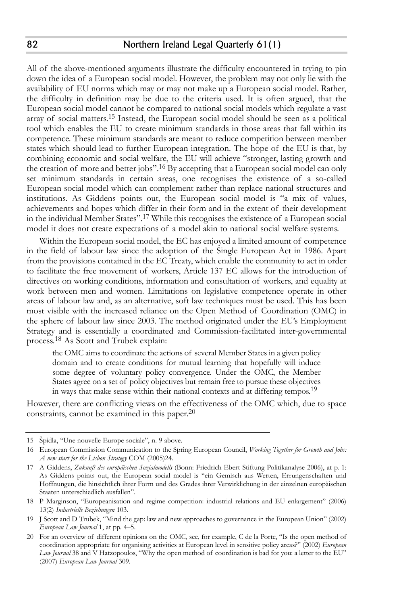All of the above-mentioned arguments illustrate the difficulty encountered in trying to pin down the idea of a European social model. However, the problem may not only lie with the availability of EU norms which may or may not make up a European social model. Rather, the difficulty in definition may be due to the criteria used. It is often argued, that the European social model cannot be compared to national social models which regulate a vast array of social matters.15 Instead, the European social model should be seen as a political tool which enables the EU to create minimum standards in those areas that fall within its competence. These minimum standards are meant to reduce competition between member states which should lead to further European integration. The hope of the EU is that, by combining economic and social welfare, the EU will achieve "stronger, lasting growth and the creation of more and better jobs".<sup>16</sup> By accepting that a European social model can only set minimum standards in certain areas, one recognises the existence of a so-called European social model which can complement rather than replace national structures and institutions. As Giddens points out, the European social model is "a mix of values, achievements and hopes which differ in their form and in the extent of their development in the individual Member States".17 While this recognises the existence of a European social model it does not create expectations of a model akin to national social welfare systems.

Within the European social model, the EC has enjoyed a limited amount of competence in the field of labour law since the adoption of the Single European Act in 1986. Apart from the provisions contained in the EC Treaty, which enable the community to act in order to facilitate the free movement of workers, Article 137 EC allows for the introduction of directives on working conditions, information and consultation of workers, and equality at work between men and women. Limitations on legislative competence operate in other areas of labour law and, as an alternative, soft law techniques must be used. This has been most visible with the increased reliance on the Open Method of Coordination (OMC) in the sphere of labour law since 2003. The method originated under the EU's Employment Strategy and is essentially a coordinated and Commission-facilitated inter-governmental process.18 As Scott and Trubek explain:

the OMC aims to coordinate the actions of several Member States in a given policy domain and to create conditions for mutual learning that hopefully will induce some degree of voluntary policy convergence. Under the OMC, the Member States agree on a set of policy objectives but remain free to pursue these objectives in ways that make sense within their national contexts and at differing tempos.19

However, there are conflicting views on the effectiveness of the OMC which, due to space constraints, cannot be examined in this paper.20

<sup>15</sup> Špidla, "Une nouvelle Europe sociale", n. 9 above.

<sup>16</sup> European Commission Communication to the Spring European Council, *Working Together for Growth and Jobs: A new start for the Lisbon Strategy* COM (2005)24.

<sup>17</sup> A Giddens, *Zukunft des europäischen Sozialmodells* (Bonn: Friedrich Ebert Stiftung Politikanalyse 2006), at p. 1: As Giddens points out, the European social model is "ein Gemisch aus Werten, Errungenschaften und Hoffnungen, die hinsichtlich ihrer Form und des Grades ihrer Verwirklichung in der einzelnen europäischen Staaten unterschiedlich ausfallen".

<sup>18</sup> P Marginson, "Europeanisation and regime competition: industrial relations and EU enlargement" (2006) 13(2) *Industrielle Beziehungen* 103.

<sup>19</sup> J Scott and D Trubek, "Mind the gap: law and new approaches to governance in the European Union" (2002) *European Law Journal* 1, at pp. 4–5.

<sup>20</sup> For an overview of different opinions on the OMC, see, for example, C de la Porte, "Is the open method of coordination appropriate for organising activities at European level in sensitive policy areas?" (2002) *European Law Journal* 38 and V Hatzopoulos, "Why the open method of coordination is bad for you: a letter to the EU" (2007) *European Law Journal* 309.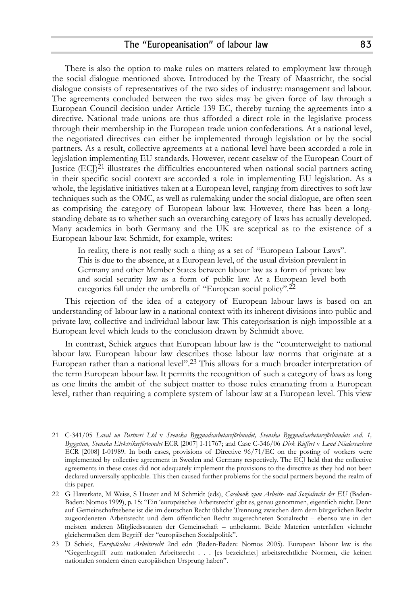There is also the option to make rules on matters related to employment law through the social dialogue mentioned above. Introduced by the Treaty of Maastricht, the social dialogue consists of representatives of the two sides of industry: management and labour. The agreements concluded between the two sides may be given force of law through a European Council decision under Article 139 EC, thereby turning the agreements into a directive. National trade unions are thus afforded a direct role in the legislative process through their membership in the European trade union confederations. At a national level, the negotiated directives can either be implemented through legislation or by the social partners. As a result, collective agreements at a national level have been accorded a role in legislation implementing EU standards. However, recent caselaw of the European Court of Justice  $(ECI)^{21}$  illustrates the difficulties encountered when national social partners acting in their specific social context are accorded a role in implementing EU legislation. As a whole, the legislative initiatives taken at a European level, ranging from directives to soft law techniques such as the OMC, as well as rulemaking under the social dialogue, are often seen as comprising the category of European labour law. However, there has been a longstanding debate as to whether such an overarching category of laws has actually developed. Many academics in both Germany and the UK are sceptical as to the existence of a European labour law. Schmidt, for example, writes:

In reality, there is not really such a thing as a set of "European Labour Laws". This is due to the absence, at a European level, of the usual division prevalent in Germany and other Member States between labour law as a form of private law and social security law as a form of public law. At a European level both categories fall under the umbrella of "European social policy".22

This rejection of the idea of a category of European labour laws is based on an understanding of labour law in a national context with its inherent divisions into public and private law, collective and individual labour law. This categorisation is nigh impossible at a European level which leads to the conclusion drawn by Schmidt above.

In contrast, Schiek argues that European labour law is the "counterweight to national labour law. European labour law describes those labour law norms that originate at a European rather than a national level".23 This allows for a much broader interpretation of the term European labour law. It permits the recognition of such a category of laws as long as one limits the ambit of the subject matter to those rules emanating from a European level, rather than requiring a complete system of labour law at a European level. This view

<sup>21</sup> C-341/05 *Laval un Partneri Ltd* v *Svenska Byggnadsarbetareförbundet, Svenska Byggnadsarbetareförbundets avd. 1, Byggettan, Svenska Elektrikerförbundet* ECR [2007] I-11767; and Case C-346/06 *Dirk Rüffert* v *Land Niedersachsen* ECR [2008] I-01989. In both cases, provisions of Directive 96/71/EC on the posting of workers were implemented by collective agreement in Sweden and Germany respectively. The ECJ held that the collective agreements in these cases did not adequately implement the provisions to the directive as they had not been declared universally applicable. This then caused further problems for the social partners beyond the realm of this paper.

<sup>22</sup> G Haverkate, M Weiss, S Huster and M Schmidt (eds), *Casebook zum Arbeits- und Sozialrecht der EU* (Baden-Baden: Nomos 1999), p. 15: "Ein 'europäisches Arbeitsrecht' gibt es, genau genommen, eigentlich nicht. Denn auf Gemeinschaftsebene ist die im deutschen Recht übliche Trennung zwischen dem dem bürgerlichen Recht zugeordeneten Arbeitsrecht und dem öffentlichen Recht zugerechneten Sozialrecht – ebenso wie in den meisten anderen Mitgliedsstaaten der Gemeinschaft – unbekannt. Beide Materien unterfallen vielmehr gleichermaßen dem Begriff der "europäischen Sozialpolitik".

<sup>23</sup> D Schiek, *Europäisches Arbeitsrecht* 2nd edn (Baden-Baden: Nomos 2005). European labour law is the "Gegenbegriff zum nationalen Arbeitsrecht . . . [es bezeichnet] arbeitsrechtliche Normen, die keinen nationalen sondern einen europäischen Ursprung haben".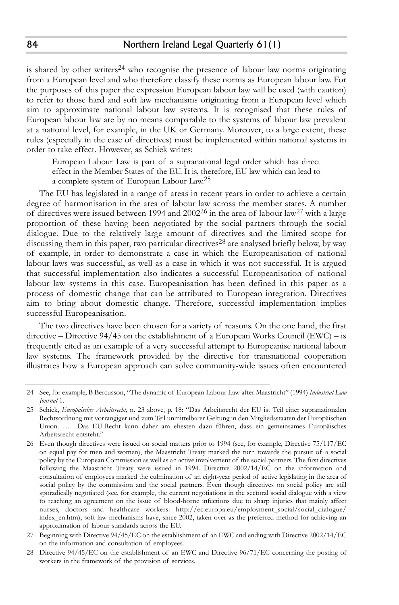is shared by other writers<sup>24</sup> who recognise the presence of labour law norms originating from a European level and who therefore classify these norms as European labour law. For the purposes of this paper the expression European labour law will be used (with caution) to refer to those hard and soft law mechanisms originating from a European level which aim to approximate national labour law systems. It is recognised that these rules of European labour law are by no means comparable to the systems of labour law prevalent at a national level, for example, in the UK or Germany. Moreover, to a large extent, these rules (especially in the case of directives) must be implemented within national systems in order to take effect. However, as Schiek writes:

European Labour Law is part of a supranational legal order which has direct effect in the Member States of the EU. It is, therefore, EU law which can lead to a complete system of European Labour Law.25

The EU has legislated in a range of areas in recent years in order to achieve a certain degree of harmonisation in the area of labour law across the member states. A number of directives were issued between 1994 and 200226 in the area of labour law27 with a large proportion of these having been negotiated by the social partners through the social dialogue. Due to the relatively large amount of directives and the limited scope for discussing them in this paper, two particular directives<sup>28</sup> are analysed briefly below, by way of example, in order to demonstrate a case in which the Europeanisation of national labour laws was successful, as well as a case in which it was not successful. It is argued that successful implementation also indicates a successful Europeanisation of national labour law systems in this case. Europeanisation has been defined in this paper as a process of domestic change that can be attributed to European integration. Directives aim to bring about domestic change. Therefore, successful implementation implies successful Europeanisation.

The two directives have been chosen for a variety of reasons. On the one hand, the first directive – Directive 94/45 on the establishment of a European Works Council (EWC) – is frequently cited as an example of a very successful attempt to Europeanise national labour law systems. The framework provided by the directive for transnational cooperation illustrates how a European approach can solve community-wide issues often encountered

<sup>24</sup> See, for example, B Bercusson, "The dynamic of European Labour Law after Maastricht" (1994) *Industrial Law Journal* 1.

<sup>25</sup> Schiek, *Europäisches Arbeitsrecht*, n. 23 above, p. 18: "Das Arbeitsrecht der EU ist Teil einer supranationalen Rechtsordnung mit vorrangiger und zum Teil unmittelbarer Geltung in den Mitgliedsstaaten der Europäischen Union. … Das EU-Recht kann daher am ehesten dazu führen, dass ein gemeinsames Europäisches Arbeitsrecht entsteht."

<sup>26</sup> Even though directives were issued on social matters prior to 1994 (see, for example, Directive 75/117/EC on equal pay for men and women), the Maastricht Treaty marked the turn towards the pursuit of a social policy by the European Commission as well as an active involvement of the social partners. The first directives following the Maastricht Treaty were issued in 1994. Directive 2002/14/EC on the information and consultation of employees marked the culmination of an eight-year period of active legislating in the area of social policy by the commission and the social partners. Even though directives on social policy are still sporadically negotiated (see, for example, the current negotiations in the sectoral social dialogue with a view to reaching an agreement on the issue of blood-borne infections due to sharp injuries that mainly affect nurses, doctors and healthcare workers: http://ec.europa.eu/employment\_social/social\_dialogue/ index\_en.htm), soft law mechanisms have, since 2002, taken over as the preferred method for achieving an approximation of labour standards across the EU.

<sup>27</sup> Beginning with Directive 94/45/EC on the establishment of an EWC and ending with Directive 2002/14/EC on the information and consultation of employees.

<sup>28</sup> Directive 94/45/EC on the establishment of an EWC and Directive 96/71/EC concerning the posting of workers in the framework of the provision of services.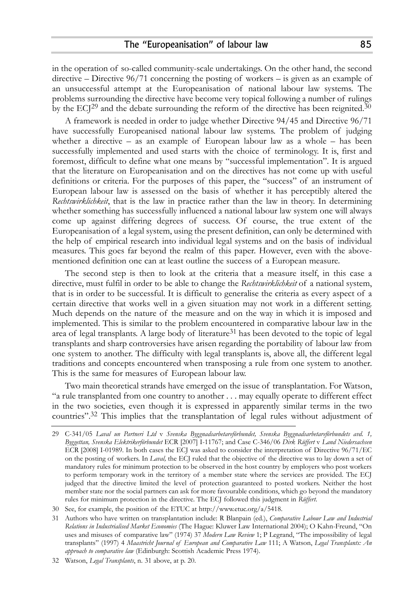in the operation of so-called community-scale undertakings. On the other hand, the second directive – Directive  $96/71$  concerning the posting of workers – is given as an example of an unsuccessful attempt at the Europeanisation of national labour law systems. The problems surrounding the directive have become very topical following a number of rulings by the  $ECI<sup>29</sup>$  and the debate surrounding the reform of the directive has been reignited.<sup>30</sup>

A framework is needed in order to judge whether Directive 94/45 and Directive 96/71 have successfully Europeanised national labour law systems. The problem of judging whether a directive – as an example of European labour law as a whole – has been successfully implemented and used starts with the choice of terminology. It is, first and foremost, difficult to define what one means by "successful implementation". It is argued that the literature on Europeanisation and on the directives has not come up with useful definitions or criteria. For the purposes of this paper, the "success" of an instrument of European labour law is assessed on the basis of whether it has perceptibly altered the *Rechtswirklichkeit*, that is the law in practice rather than the law in theory. In determining whether something has successfully influenced a national labour law system one will always come up against differing degrees of success. Of course, the true extent of the Europeanisation of a legal system, using the present definition, can only be determined with the help of empirical research into individual legal systems and on the basis of individual measures. This goes far beyond the realm of this paper. However, even with the abovementioned definition one can at least outline the success of a European measure.

The second step is then to look at the criteria that a measure itself, in this case a directive, must fulfil in order to be able to change the *Rechtswirklichkeit* of a national system, that is in order to be successful. It is difficult to generalise the criteria as every aspect of a certain directive that works well in a given situation may not work in a different setting. Much depends on the nature of the measure and on the way in which it is imposed and implemented. This is similar to the problem encountered in comparative labour law in the area of legal transplants. A large body of literature<sup>31</sup> has been devoted to the topic of legal transplants and sharp controversies have arisen regarding the portability of labour law from one system to another. The difficulty with legal transplants is, above all, the different legal traditions and concepts encountered when transposing a rule from one system to another. This is the same for measures of European labour law.

Two main theoretical strands have emerged on the issue of transplantation. For Watson, "a rule transplanted from one country to another . . . may equally operate to different effect in the two societies, even though it is expressed in apparently similar terms in the two countries".32 This implies that the transplantation of legal rules without adjustment of

<sup>29</sup> C-341/05 *Laval un Partneri Ltd* v *Svenska Byggnadsarbetareförbundet, Svenska Byggnadsarbetareförbundets avd. 1, Byggettan, Svenska Elektrikerförbundet* ECR [2007] I-11767; and Case C-346/06 *Dirk Rüffert* v *Land Niedersachsen* ECR [2008] I-01989. In both cases the ECJ was asked to consider the interpretation of Directive 96/71/EC on the posting of workers. In *Laval,* the ECJ ruled that the objective of the directive was to lay down a set of mandatory rules for minimum protection to be observed in the host country by employers who post workers to perform temporary work in the territory of a member state where the services are provided. The ECJ judged that the directive limited the level of protection guaranteed to posted workers. Neither the host member state nor the social partners can ask for more favourable conditions, which go beyond the mandatory rules for minimum protection in the directive. The ECJ followed this judgment in *Rüffert*.

<sup>30</sup> See, for example, the position of the ETUC at http://www.etuc.org/a/5418.

<sup>31</sup> Authors who have written on transplantation include: R Blanpain (ed.), *Comparative Labour Law and Industrial Relations in Industrialised Market Economies* (The Hague: Kluwer Law International 2004); O Kahn-Freund, "On uses and misuses of comparative law" (1974) 37 *Modern Law Review* 1; P Legrand, "The impossibility of legal transplants" (1997) 4 *Maastricht Journal of European and Comparative Law* 111; A Watson, *Legal Transplants: An approach to comparative law* (Edinburgh: Scottish Academic Press 1974).

<sup>32</sup> Watson, *Legal Transplants*, n. 31 above, at p. 20.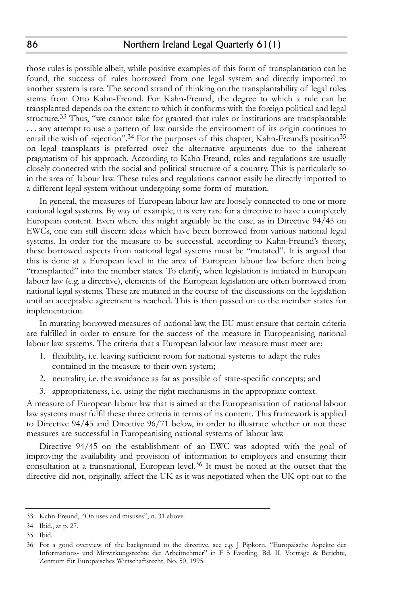those rules is possible albeit, while positive examples of this form of transplantation can be found, the success of rules borrowed from one legal system and directly imported to another system is rare. The second strand of thinking on the transplantability of legal rules stems from Otto Kahn-Freund. For Kahn-Freund, the degree to which a rule can be transplanted depends on the extent to which it conforms with the foreign political and legal structure.<sup>33</sup> Thus, "we cannot take for granted that rules or institutions are transplantable ... any attempt to use a pattern of law outside the environment of its origin continues to entail the wish of rejection".<sup>34</sup> For the purposes of this chapter, Kahn-Freund's position<sup>35</sup> on legal transplants is preferred over the alternative arguments due to the inherent pragmatism of his approach. According to Kahn-Freund, rules and regulations are usually closely connected with the social and political structure of a country. This is particularly so in the area of labour law. These rules and regulations cannot easily be directly imported to a different legal system without undergoing some form of mutation.

In general, the measures of European labour law are loosely connected to one or more national legal systems. By way of example, it is very rare for a directive to have a completely European content. Even where this might arguably be the case, as in Directive 94/45 on EWCs, one can still discern ideas which have been borrowed from various national legal systems. In order for the measure to be successful, according to Kahn-Freund's theory, these borrowed aspects from national legal systems must be "mutated". It is argued that this is done at a European level in the area of European labour law before then being "transplanted" into the member states. To clarify, when legislation is initiated in European labour law (e.g. a directive), elements of the European legislation are often borrowed from national legal systems. These are mutated in the course of the discussions on the legislation until an acceptable agreement is reached. This is then passed on to the member states for implementation.

In mutating borrowed measures of national law, the EU must ensure that certain criteria are fulfilled in order to ensure for the success of the measure in Europeanising national labour law systems. The criteria that a European labour law measure must meet are:

- 1. flexibility, i.e. leaving sufficient room for national systems to adapt the rules contained in the measure to their own system;
- 2. neutrality, i.e. the avoidance as far as possible of state-specific concepts; and
- 3. appropriateness, i.e. using the right mechanisms in the appropriate context.

A measure of European labour law that is aimed at the Europeanisation of national labour law systems must fulfil these three criteria in terms of its content. This framework is applied to Directive 94/45 and Directive 96/71 below, in order to illustrate whether or not these measures are successful in Europeanising national systems of labour law.

Directive 94/45 on the establishment of an EWC was adopted with the goal of improving the availability and provision of information to employees and ensuring their consultation at a transnational, European level.36 It must be noted at the outset that the directive did not, originally, affect the UK as it was negotiated when the UK opt-out to the

<sup>33</sup> Kahn-Freund, "On uses and misuses", n. 31 above.

<sup>34</sup> Ibid., at p. 27.

<sup>35</sup> Ibid.

<sup>36</sup> For a good overview of the background to the directive, see e.g. J Pipkorn, "Europäische Aspekte der Informations- und Mitwirkungsrechte der Arbeitnehmer" in F S Everling, Bd. II, Vorträge & Berichte, Zentrum für Europäisches Wirtschaftsrecht, No. 50, 1995.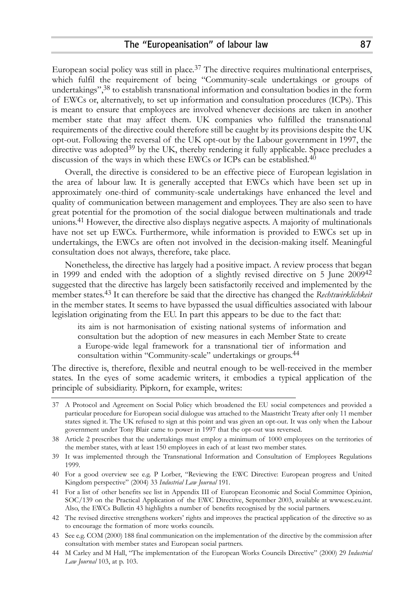European social policy was still in place.<sup>37</sup> The directive requires multinational enterprises, which fulfil the requirement of being "Community-scale undertakings or groups of undertakings",38 to establish transnational information and consultation bodies in the form of EWCs or, alternatively, to set up information and consultation procedures (ICPs). This is meant to ensure that employees are involved whenever decisions are taken in another member state that may affect them. UK companies who fulfilled the transnational requirements of the directive could therefore still be caught by its provisions despite the UK opt-out. Following the reversal of the UK opt-out by the Labour government in 1997, the directive was adopted<sup>39</sup> by the UK, thereby rendering it fully applicable. Space precludes a discussion of the ways in which these EWCs or ICPs can be established.40

Overall, the directive is considered to be an effective piece of European legislation in the area of labour law. It is generally accepted that EWCs which have been set up in approximately one-third of community-scale undertakings have enhanced the level and quality of communication between management and employees. They are also seen to have great potential for the promotion of the social dialogue between multinationals and trade unions.41 However, the directive also displays negative aspects. A majority of multinationals have not set up EWCs. Furthermore, while information is provided to EWCs set up in undertakings, the EWCs are often not involved in the decision-making itself. Meaningful consultation does not always, therefore, take place.

Nonetheless, the directive has largely had a positive impact. A review process that began in 1999 and ended with the adoption of a slightly revised directive on 5 June 200942 suggested that the directive has largely been satisfactorily received and implemented by the member states.43 It can therefore be said that the directive has changed the *Rechtswirklichkeit* in the member states. It seems to have bypassed the usual difficulties associated with labour legislation originating from the EU. In part this appears to be due to the fact that:

its aim is not harmonisation of existing national systems of information and consultation but the adoption of new measures in each Member State to create a Europe-wide legal framework for a transnational tier of information and consultation within "Community-scale" undertakings or groups.44

The directive is, therefore, flexible and neutral enough to be well-received in the member states. In the eyes of some academic writers, it embodies a typical application of the principle of subsidiarity. Pipkorn, for example, writes:

<sup>37</sup> A Protocol and Agreement on Social Policy which broadened the EU social competences and provided a particular procedure for European social dialogue was attached to the Maastricht Treaty after only 11 member states signed it. The UK refused to sign at this point and was given an opt-out. It was only when the Labour government under Tony Blair came to power in 1997 that the opt-out was reversed.

<sup>38</sup> Article 2 prescribes that the undertakings must employ a minimum of 1000 employees on the territories of the member states, with at least 150 employees in each of at least two member states.

<sup>39</sup> It was implemented through the Transnational Information and Consultation of Employees Regulations 1999.

<sup>40</sup> For a good overview see e.g. P Lorber, "Reviewing the EWC Directive: European progress and United Kingdom perspective" (2004) 33 *Industrial Law Journal* 191.

<sup>41</sup> For a list of other benefits see list in Appendix III of European Economic and Social Committee Opinion, SOC/139 on the Practical Application of the EWC Directive, September 2003, available at www.esc.eu.int. Also, the EWCs Bulletin 43 highlights a number of benefits recognised by the social partners.

<sup>42</sup> The revised directive strengthens workers' rights and improves the practical application of the directive so as to encourage the formation of more works councils.

<sup>43</sup> See e.g. COM (2000) 188 final communication on the implementation of the directive by the commission after consultation with member states and European social partners.

<sup>44</sup> M Carley and M Hall, "The implementation of the European Works Councils Directive" (2000) 29 *Industrial Law Journal* 103, at p. 103.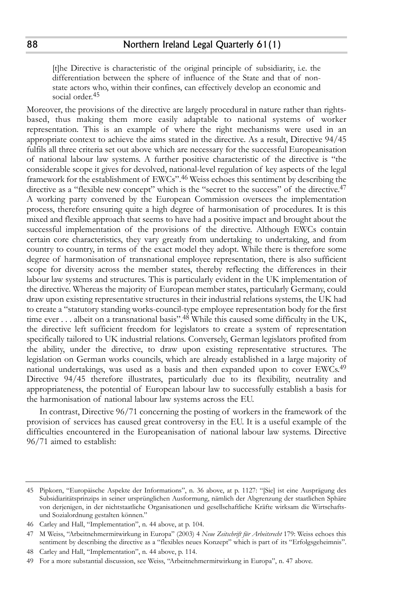[t]he Directive is characteristic of the original principle of subsidiarity, i.e. the differentiation between the sphere of influence of the State and that of nonstate actors who, within their confines, can effectively develop an economic and social order.45

Moreover, the provisions of the directive are largely procedural in nature rather than rightsbased, thus making them more easily adaptable to national systems of worker representation. This is an example of where the right mechanisms were used in an appropriate context to achieve the aims stated in the directive. As a result, Directive 94/45 fulfils all three criteria set out above which are necessary for the successful Europeanisation of national labour law systems. A further positive characteristic of the directive is "the considerable scope it gives for devolved, national-level regulation of key aspects of the legal framework for the establishment of EWCs".46 Weiss echoes this sentiment by describing the directive as a "flexible new concept" which is the "secret to the success" of the directive.<sup>47</sup> A working party convened by the European Commission oversees the implementation process, therefore ensuring quite a high degree of harmonisation of procedures. It is this mixed and flexible approach that seems to have had a positive impact and brought about the successful implementation of the provisions of the directive. Although EWCs contain certain core characteristics, they vary greatly from undertaking to undertaking, and from country to country, in terms of the exact model they adopt. While there is therefore some degree of harmonisation of transnational employee representation, there is also sufficient scope for diversity across the member states, thereby reflecting the differences in their labour law systems and structures. This is particularly evident in the UK implementation of the directive. Whereas the majority of European member states, particularly Germany, could draw upon existing representative structures in their industrial relations systems, the UK had to create a "statutory standing works-council-type employee representation body for the first time ever . . . albeit on a transnational basis".<sup>48</sup> While this caused some difficulty in the UK, the directive left sufficient freedom for legislators to create a system of representation specifically tailored to UK industrial relations. Conversely, German legislators profited from the ability, under the directive, to draw upon existing representative structures. The legislation on German works councils, which are already established in a large majority of national undertakings, was used as a basis and then expanded upon to cover EWCs.49 Directive 94/45 therefore illustrates, particularly due to its flexibility, neutrality and appropriateness, the potential of European labour law to successfully establish a basis for the harmonisation of national labour law systems across the EU.

In contrast, Directive 96/71 concerning the posting of workers in the framework of the provision of services has caused great controversy in the EU. It is a useful example of the difficulties encountered in the Europeanisation of national labour law systems. Directive 96/71 aimed to establish:

<sup>45</sup> Pipkorn, "Europäische Aspekte der Informations", n. 36 above, at p. 1127: "[Sie] ist eine Ausprägung des Subsidiaritätsprinzips in seiner ursprünglichen Ausformung, nämlich der Abgrenzung der staatlichen Sphäre von derjenigen, in der nichtstaatliche Organisationen und gesellschaftliche Kräfte wirksam die Wirtschaftsund Sozialordnung gestalten können."

<sup>46</sup> Carley and Hall, "Implementation", n. 44 above, at p. 104.

<sup>47</sup> M Weiss, "Arbeitnehmermitwirkung in Europa" (2003) 4 *Neue Zeitschrift für Arbeitsrecht* 179: Weiss echoes this sentiment by describing the directive as a "flexibles neues Konzept" which is part of its "Erfolgsgeheimnis".

<sup>48</sup> Carley and Hall, "Implementation", n. 44 above, p. 114.

<sup>49</sup> For a more substantial discussion, see Weiss, "Arbeitnehmermitwirkung in Europa", n. 47 above.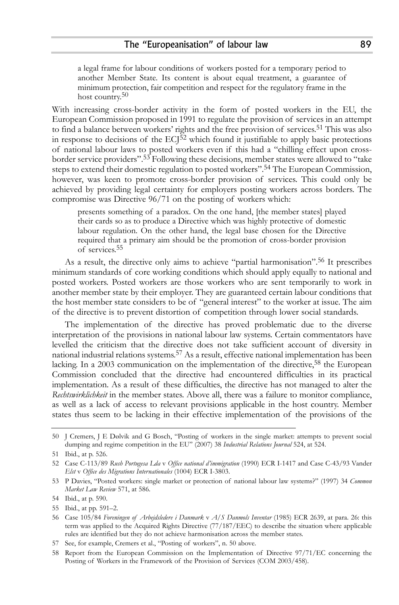a legal frame for labour conditions of workers posted for a temporary period to another Member State. Its content is about equal treatment, a guarantee of minimum protection, fair competition and respect for the regulatory frame in the host country.<sup>50</sup>

With increasing cross-border activity in the form of posted workers in the EU, the European Commission proposed in 1991 to regulate the provision of services in an attempt to find a balance between workers' rights and the free provision of services.51 This was also in response to decisions of the  $ECJ^{52}$  which found it justifiable to apply basic protections of national labour laws to posted workers even if this had a "chilling effect upon crossborder service providers".53 Following these decisions, member states were allowed to "take steps to extend their domestic regulation to posted workers".54 The European Commission, however, was keen to promote cross-border provision of services. This could only be achieved by providing legal certainty for employers posting workers across borders. The compromise was Directive 96/71 on the posting of workers which:

presents something of a paradox. On the one hand, [the member states] played their cards so as to produce a Directive which was highly protective of domestic labour regulation. On the other hand, the legal base chosen for the Directive required that a primary aim should be the promotion of cross-border provision of services.55

As a result, the directive only aims to achieve "partial harmonisation".56 It prescribes minimum standards of core working conditions which should apply equally to national and posted workers. Posted workers are those workers who are sent temporarily to work in another member state by their employer. They are guaranteed certain labour conditions that the host member state considers to be of "general interest" to the worker at issue. The aim of the directive is to prevent distortion of competition through lower social standards.

The implementation of the directive has proved problematic due to the diverse interpretation of the provisions in national labour law systems. Certain commentators have levelled the criticism that the directive does not take sufficient account of diversity in national industrial relations systems.57 As a result, effective national implementation has been lacking. In a 2003 communication on the implementation of the directive,<sup>58</sup> the European Commission concluded that the directive had encountered difficulties in its practical implementation. As a result of these difficulties, the directive has not managed to alter the *Rechtswirklichkeit* in the member states. Above all, there was a failure to monitor compliance, as well as a lack of access to relevant provisions applicable in the host country. Member states thus seem to be lacking in their effective implementation of the provisions of the

<sup>50</sup> J Cremers, J E Dølvik and G Bosch, "Posting of workers in the single market: attempts to prevent social dumping and regime competition in the EU" (2007) 38 *Industrial Relations Journal* 524, at 524.

<sup>51</sup> Ibid., at p. 526.

<sup>52</sup> Case C-113/89 *Rush Portugesa Lda* v *Office national d'immigration* (1990) ECR I-1417 and Case C-43/93 Vander *Elst* v *Office des Migrations Internationales* (1004) ECR I-3803.

<sup>53</sup> P Davies, "Posted workers: single market or protection of national labour law systems?" (1997) 34 *Common Market Law Review* 571, at 586.

<sup>54</sup> Ibid., at p. 590.

<sup>55</sup> Ibid., at pp. 591–2.

<sup>56</sup> Case 105/84 *Foreningen of Arbejdsledere i Danmark* v *A/S Danmols Inventar* (1985) ECR 2639, at para. 26: this term was applied to the Acquired Rights Directive (77/187/EEC) to describe the situation where applicable rules are identified but they do not achieve harmonisation across the member states.

<sup>57</sup> See, for example, Cremers et al., "Posting of workers", n. 50 above.

<sup>58</sup> Report from the European Commission on the Implementation of Directive 97/71/EC concerning the Posting of Workers in the Framework of the Provision of Services (COM 2003/458).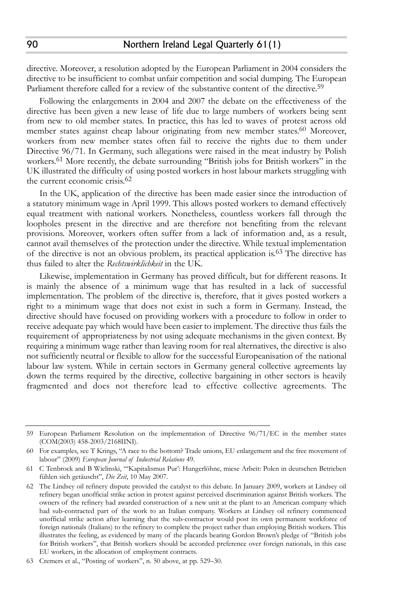directive. Moreover, a resolution adopted by the European Parliament in 2004 considers the directive to be insufficient to combat unfair competition and social dumping. The European Parliament therefore called for a review of the substantive content of the directive.<sup>59</sup>

Following the enlargements in 2004 and 2007 the debate on the effectiveness of the directive has been given a new lease of life due to large numbers of workers being sent from new to old member states. In practice, this has led to waves of protest across old member states against cheap labour originating from new member states.60 Moreover, workers from new member states often fail to receive the rights due to them under Directive 96/71. In Germany, such allegations were raised in the meat industry by Polish workers.<sup>61</sup> More recently, the debate surrounding "British jobs for British workers" in the UK illustrated the difficulty of using posted workers in host labour markets struggling with the current economic crisis.62

In the UK, application of the directive has been made easier since the introduction of a statutory minimum wage in April 1999. This allows posted workers to demand effectively equal treatment with national workers. Nonetheless, countless workers fall through the loopholes present in the directive and are therefore not benefiting from the relevant provisions. Moreover, workers often suffer from a lack of information and, as a result, cannot avail themselves of the protection under the directive. While textual implementation of the directive is not an obvious problem, its practical application is.63 The directive has thus failed to alter the *Rechtswirklichkeit* in the UK.

Likewise, implementation in Germany has proved difficult, but for different reasons. It is mainly the absence of a minimum wage that has resulted in a lack of successful implementation. The problem of the directive is, therefore, that it gives posted workers a right to a minimum wage that does not exist in such a form in Germany. Instead, the directive should have focused on providing workers with a procedure to follow in order to receive adequate pay which would have been easier to implement. The directive thus fails the requirement of appropriateness by not using adequate mechanisms in the given context. By requiring a minimum wage rather than leaving room for real alternatives, the directive is also not sufficiently neutral or flexible to allow for the successful Europeanisation of the national labour law system. While in certain sectors in Germany general collective agreements lay down the terms required by the directive, collective bargaining in other sectors is heavily fragmented and does not therefore lead to effective collective agreements. The

90

<sup>59</sup> European Parliament Resolution on the implementation of Directive 96/71/EC in the member states (COM(2003) 458-2003/2168IINI).

<sup>60</sup> For examples, see T Krings, "A race to the bottom? Trade unions, EU enlargement and the free movement of labour" (2009) *European Journal of Industrial Relations* 49.

<sup>61</sup> C Tenbrock and B Wielinski, "'Kapitalismus Pur': Hungerlöhne, miese Arbeit: Polen in deutschen Betrieben fühlen sich getäuscht", *Die Zeit*, 10 May 2007.

<sup>62</sup> The Lindsey oil refinery dispute provided the catalyst to this debate. In January 2009, workers at Lindsey oil refinery began unofficial strike action in protest against perceived discrimination against British workers. The owners of the refinery had awarded construction of a new unit at the plant to an American company which had sub-contracted part of the work to an Italian company. Workers at Lindsey oil refinery commenced unofficial strike action after learning that the sub-contractor would post its own permanent workforce of foreign nationals (Italians) to the refinery to complete the project rather than employing British workers. This illustrates the feeling, as evidenced by many of the placards bearing Gordon Brown's pledge of "British jobs for British workers", that British workers should be accorded preference over foreign nationals, in this case EU workers, in the allocation of employment contracts.

<sup>63</sup> Cremers et al., "Posting of workers", n. 50 above, at pp. 529–30.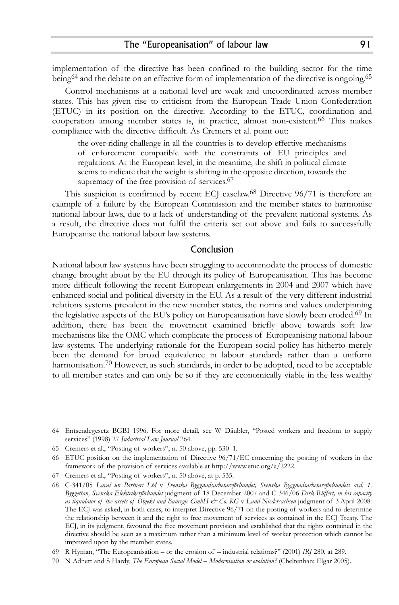implementation of the directive has been confined to the building sector for the time being<sup>64</sup> and the debate on an effective form of implementation of the directive is ongoing.<sup>65</sup>

Control mechanisms at a national level are weak and uncoordinated across member states. This has given rise to criticism from the European Trade Union Confederation (ETUC) in its position on the directive. According to the ETUC, coordination and cooperation among member states is, in practice, almost non-existent.<sup>66</sup> This makes compliance with the directive difficult. As Cremers et al. point out:

the over-riding challenge in all the countries is to develop effective mechanisms of enforcement compatible with the constraints of EU principles and regulations. At the European level, in the meantime, the shift in political climate seems to indicate that the weight is shifting in the opposite direction, towards the supremacy of the free provision of services.<sup>67</sup>

This suspicion is confirmed by recent ECJ caselaw.<sup>68</sup> Directive 96/71 is therefore an example of a failure by the European Commission and the member states to harmonise national labour laws, due to a lack of understanding of the prevalent national systems. As a result, the directive does not fulfil the criteria set out above and fails to successfully Europeanise the national labour law systems.

## Conclusion

National labour law systems have been struggling to accommodate the process of domestic change brought about by the EU through its policy of Europeanisation. This has become more difficult following the recent European enlargements in 2004 and 2007 which have enhanced social and political diversity in the EU. As a result of the very different industrial relations systems prevalent in the new member states, the norms and values underpinning the legislative aspects of the EU's policy on Europeanisation have slowly been eroded.<sup>69</sup> In addition, there has been the movement examined briefly above towards soft law mechanisms like the OMC which complicate the process of Europeanising national labour law systems. The underlying rationale for the European social policy has hitherto merely been the demand for broad equivalence in labour standards rather than a uniform harmonisation.<sup>70</sup> However, as such standards, in order to be adopted, need to be acceptable to all member states and can only be so if they are economically viable in the less wealthy

<sup>64</sup> Entsendegesetz BGBI 1996. For more detail, see W Däubler, "Posted workers and freedom to supply services" (1998) 27 *Industrial Law Journal* 264.

<sup>65</sup> Cremers et al., "Posting of workers", n. 50 above, pp. 530–1.

<sup>66</sup> ETUC position on the implementation of Directive 96/71/EC concerning the posting of workers in the framework of the provision of services available at http://www.etuc.org/a/2222.

<sup>67</sup> Cremers et al., "Posting of workers", n. 50 above, at p. 535.

<sup>68</sup> C-341/05 *Laval un Partneri Ltd* v *Svenska Byggnadsarbetareförbundet, Svenska Byggnadsarbetareförbundets avd. 1, Byggettan, Svenska Elektrikerförbundet* judgment of 18 December 2007 and C-346/06 *Dirk Rüffert, in his capacity as liquidator of the assets of Objekt und Bauregie GmbH & Co. KG* v *Land Niedersachsen* judgment of 3 April 2008: The ECJ was asked, in both cases, to interpret Directive 96/71 on the posting of workers and to determine the relationship between it and the right to free movement of services as contained in the ECJ Treaty. The ECJ, in its judgment, favoured the free movement provision and established that the rights contained in the directive should be seen as a maximum rather than a minimum level of worker protection which cannot be improved upon by the member states.

<sup>69</sup> R Hyman, "The Europeanisation – or the erosion of – industrial relations?" (2001) *IRJ* 280, at 289.

<sup>70</sup> N Adnett and S Hardy, *The European Social Model – Modernisation or evolution?* (Cheltenhan: Elgar 2005).